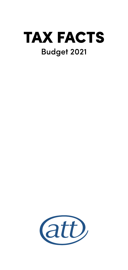

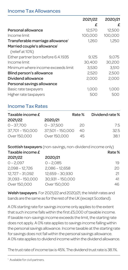### Income Tax Allowances

|                                              | 2021/22 | 2020/21 |
|----------------------------------------------|---------|---------|
|                                              | £       | £       |
| Personal allowance                           | 12,570  | 12.500  |
| Income limit                                 | 100,000 | 100,000 |
| Transferable marriage allowance <sup>1</sup> | 1.260   | 1.250   |
| Married couple's allowance <sup>1</sup>      |         |         |
| (relief at 10%)                              |         |         |
| Either partner born before 6.4.1935          | 9.125   | 9.075   |
| Income limit                                 | 30.400  | 30.200  |
| Minimum where income exceeds limit           | 3,530   | 3.510   |
| Blind person's allowance                     | 2.520   | 2,500   |
| Dividend allowance                           | 2.000   | 2.000   |
| Personal savings allowance                   |         |         |
| Basic rate taxpayers                         | 1.000   | 1.000   |
| Higher rate taxpayers                        | 500     | 500     |

### Income Tax Rates

| Taxable income £ |                  | Rate % | Dividend rate % |
|------------------|------------------|--------|-----------------|
| 2021/22          | 2020/21          |        |                 |
| $0 - 37.700$     | $0 - 37.500$     | 20     | 7.5             |
| 37.701 - 150.000 | 37.501 - 150.000 | 40     | 32.5            |
| Over 150,000     | Over 150,000     | 45     | 38.1            |

Scottish taxpayers (non-savings, non-dividend income only)  $T$ axable income  $f$   $R$ ate %

| 2021/22            | 2020/21            |    |
|--------------------|--------------------|----|
| $0 - 2.097$        | $0 - 2.085$        | 19 |
| $2.098 - 12.726$   | $2.086 - 12.658$   | 20 |
| 12,727 - 31,092    | 12.659 - 30.930    | 21 |
| $31.093 - 150.000$ | $30.931 - 150.000$ | 41 |
| Over 150,000       | Over 150,000       | 46 |

Welsh taxpayers. For 2021/22 and 2020/21, the Welsh rates and bands are the same as for the rest of the UK (except Scotland).

A 0% starting rate for savings income only applies to the extent that such income falls within the first £5,000 of taxable income. If taxable non-savings income exceeds the limit, the starting rate does not apply. A 0% rate applies to savings income falling within the personal savings allowance. Income taxable at the starting rate for savings does not fall within the personal savings allowance. A 0% rate applies to dividend income within the dividend allowance.

The trust rate of income tax is 45%. The dividend trust rate is 38.1%.

<sup>1</sup> Available for civil partners.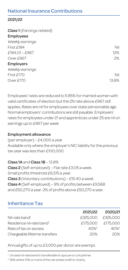### National Insurance Contributions

#### 2021/22

| Class 1 (Earnings related) |       |
|----------------------------|-------|
| Employees                  |       |
| Weekly earnings            |       |
| First £184                 | Nil   |
| £184.01 - £967             | 12%   |
| Over £967                  | 2%    |
| Employers                  |       |
| Weekly earnings            |       |
| First f170                 | Nil   |
| Over £170                  | 13.8% |

Employees' rates are reduced to 5.85% for married women with valid certificates of election but the 2% rate above £967 still applies. Rates are nil for employees over state pensionable age. Normal employers' contributions are still payable. Employers' rates for employees under 21 and apprentices under 25 are nil on earnings up to £967 per week.

#### Employment allowance

(per employer) – £4,000 a year. Available only where the employer's NIC liability for the previous tax year was less than £100,000.

#### Class 1A and Class 1B – 13.8%

Class 2 (Self-employed) – Flat rate £3.05 a week. Small profits threshold £6,515 a year. **Class 3** (Voluntary contributions) –  $£15.40$  a week. Class 4 (Self-employed) – 9% of profits between £9,568 and £50,270 a year. 2% of profits above £50,270 a year.

### Inheritance Tax

|                                      |      | 2021/22 2020/21   |
|--------------------------------------|------|-------------------|
| Nil-rate band <sup>1</sup>           |      | £325,000 £325,000 |
| Residence nil-rate band <sup>1</sup> |      | £175,000 £175,000 |
| Rate of tax on excess                | 40%2 | 40%2              |
| Chargeable lifetime transfers        | 20%  | 20%               |
|                                      |      |                   |

Annual gifts of up to £3,000 per donor are exempt.

<sup>1</sup> Unused nil-rate band is transferable to spouse or civil partner.

<sup>2</sup> 36% where 10% or more of the net estate is left to charity.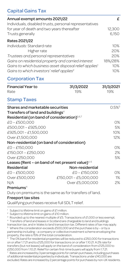# Capital Gains Tax

| Annual exempt amounts 2021/22                           |                                                                    | £          |
|---------------------------------------------------------|--------------------------------------------------------------------|------------|
|                                                         | Individuals, disabled trusts, personal representatives             |            |
| for year of death and two years thereafter              |                                                                    | 12,300     |
| Trusts generally                                        |                                                                    | 6,150      |
| Rates 2021/22                                           |                                                                    |            |
| Individuals: Standard rate                              |                                                                    | 10%        |
| Higher rate                                             |                                                                    | 20%        |
| Trustees and personal representatives                   |                                                                    | 20%        |
|                                                         | Gains on residential property and carried interest                 | 18%/28%    |
|                                                         | Gains to which business asset disposal relief applies <sup>1</sup> | 10%        |
| Gains to which investors' relief applies <sup>2</sup>   |                                                                    | 10%        |
| <b>Corporation Tax</b>                                  |                                                                    |            |
| <b>Financial Year to</b>                                | 31/3/2022                                                          | 31/3/2021  |
| Rate                                                    | 19%                                                                | 19%        |
| <b>Stamp Taxes</b>                                      |                                                                    |            |
| Shares and marketable securities                        |                                                                    | $0.5%^{3}$ |
| Transfers of land and buildings <sup>4</sup>            |                                                                    |            |
| Residential (on band of consideration) <sup>5,6,7</sup> |                                                                    |            |
| £0-£500,000                                             |                                                                    | O%         |
| £500,001 - £925,000                                     |                                                                    | 5%         |
| £925,001 - £1,500,000                                   |                                                                    | 10%        |
| Over £1,500,000                                         |                                                                    | 12%        |
| Non-residential (on band of consideration)              |                                                                    |            |
| £0-£150,000                                             |                                                                    | O%         |
| £150,001 - £250,000                                     |                                                                    | 2%         |
| Over £250.000                                           |                                                                    | 5%         |
|                                                         | Leases (Rent – on band of net present value) $4,6$                 |            |
| Residential                                             | Non-residential                                                    |            |
| £0-£500,000                                             | £0-£150,000                                                        | $O\%$      |
| Over £500,000                                           | £150,001 - £5,000,000                                              | 1%         |
| N/A                                                     | Over £5,000,000                                                    | 2%         |
| $P$ remiums <sup>4</sup>                                |                                                                    |            |

Duty on premiums is the same as for transfers of land.

#### Freeport tax sites

Qualifying purchases receive full SDLT relief.

<sup>1</sup> Subject to lifetime limit on gains of £1 million.

<sup>2</sup> Subject to lifetime limit on gains of £10 million.

3 Rounded up to the nearest multiple of £5. Transactions of £1,000 or less exempt.

4 Transfers of land and leases in Scotland are chargeable to land and buildings

transaction tax, and in Wales to land transaction tax. Different rates of tax may apply.

5 Where the consideration exceeds £500,000 and the purchase is by – or by a partnership including – a company or collective investment scheme enveloping the property, the rate is 15% of the total consideration.

 $6$  The 0% band for residential properties will be reduced to £250,000 for transactions on or after 1.7.21 and to £125,000 for transactions on or after 1.10.21. A 2% rate for transfers (but not leases) will apply on the band of consideration from £125,000 to £250,000 from 1.10.21. Relief for certain first-time buyers will apply from 1.7.21. 7 Rates are increased by 3 percentage points for certain purchases, including purchases of additional residential properties by individuals. Transactions under £40,000 are

excluded. Rates are increased by 2 percentage points for purchases by non-UK residents.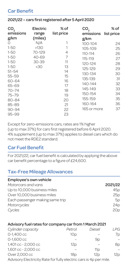### Car Benefit

| CO <sub>2</sub><br>emissions<br>g/km | Electric<br>range<br>(miles) | % of<br>list price | CO <sub>2</sub><br>emissions<br>g/km | % of<br>list price |
|--------------------------------------|------------------------------|--------------------|--------------------------------------|--------------------|
| 0                                    | N/A                          |                    | $100 - 104$                          | 24                 |
| $1 - 50$                             | >130                         |                    | 105-109                              | 25                 |
| $1 - 50$                             | 70-129                       | 4                  | 110-114                              | 26                 |
| $1 - 50$                             | 40-69                        | 7                  | 115-119                              | 27                 |
| $1 - 50$                             | 30-39                        | 11                 | 120-124                              | 28                 |
| $1 - 50$                             | $30$                         | 13                 | 125-129                              | 29                 |
| $51 - 54$                            |                              | 14                 | 130-134                              | 30                 |
| $55 - 59$                            |                              | 15                 | 135-139                              | 31                 |
| 60-64                                |                              | 16                 | 140-144                              | 32                 |
| 65-69                                |                              | 17                 | 145-149                              | 33                 |
| $70 - 74$                            |                              | 18                 | 150-154                              | 34                 |
| $75 - 79$                            |                              | 19                 | 155-159                              | 35                 |
| 80-84                                |                              | 20                 |                                      |                    |
| $85 - 89$                            |                              | 21                 | 160-164                              | 36                 |
| $90 - 94$                            |                              | 22                 | 165 or more                          | 37                 |
| $95 - 99$                            |                              | 23                 |                                      |                    |

#### 2021/22 – cars first registered after 5 April 2020

Except for zero-emissions cars, rates are 1% higher (up to max 37%) for cars first registered before 6 April 2020. 4% supplement (up to max 37%) applies to diesel cars which do not meet the RDE2 standard.

### Car Fuel Benefit

For 2021/22, car fuel benefit is calculated by applying the above car benefit percentage to a figure of £24,600.

# Tax-Free Mileage Allowances

| 2021/22         |
|-----------------|
| 45 <sub>p</sub> |
| 25p             |
| 50              |
| 24 <sub>D</sub> |
| 20 <sub>D</sub> |
|                 |

#### Advisory fuel rates for company car from 1 March 2021

| Cylinder capacity                                                 | Petrol          | Diesel          | I PG |
|-------------------------------------------------------------------|-----------------|-----------------|------|
| $0-1.400$ cc                                                      | 10 <sub>D</sub> |                 | 7p   |
| $0 - 1.600$ cc                                                    |                 | 9p              |      |
| 1,401 cc - 2,000 cc                                               | 12p             |                 | 8p   |
| 1,601 cc - 2,000 cc                                               |                 | 11 <sub>D</sub> | $=$  |
| Over 2,000 cc                                                     | 18 <sub>D</sub> | 12p             | 12p  |
| A duicon (Eloctricity Dota for fully oloctric coro in 4p por milo |                 |                 |      |

Advisory Electricity Rate for fully electric cars is 4p per mile.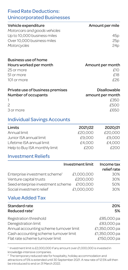# Fixed Rate Deductions: Unincorporated Businesses

| Vehicle expenditure<br>Motorcars and goods vehicles<br>Up to 10,000 business miles<br>Over 10,000 business miles<br>Motorcycles | Amount per mile<br>45 <sub>p</sub><br>25p<br>24 <sub>D</sub> |
|---------------------------------------------------------------------------------------------------------------------------------|--------------------------------------------------------------|
| Business use of home<br>Hours worked per month<br>25 or more<br>51 or more<br>101 or more                                       | Amount per month<br>£10<br>f18<br>f26                        |
| Private use of business premises<br>Number of occupants                                                                         | Disallowable<br>amount per month<br>f350                     |

2  $\epsilon$  500  $3 \text{ or more}$   $650$ 

# Individual Savings Accounts

| Limits                        | 2021/22 | 2020/21 |
|-------------------------------|---------|---------|
| Annual limit                  | £20.000 | £20.000 |
| Junior ISA annual limit       | £9.000  | £9.000  |
| Lifetime ISA annual limit     | £4.000  | £4.000  |
| Help to Buy ISA monthly limit | f200    | £200    |

### Investment Reliefs

|                                           | Investment limit | Income tax<br>relief rate |
|-------------------------------------------|------------------|---------------------------|
| Enterprise investment scheme <sup>1</sup> | £1,000,000       | 30%                       |
| Venture capital trusts                    | £200.000         | 30%                       |
| Seed enterprise investment scheme         | £100.000         | 50%                       |
| Social investment relief                  | £1,000,000       | 30%                       |

# Value Added Tax

| Standard rate                           | 20%           |
|-----------------------------------------|---------------|
| Reduced rate <sup>2</sup>               | 5%            |
| Registration threshold                  | £85,000 pa    |
| Deregistration limit                    | £83,000 pa    |
| Annual accounting scheme turnover limit | £1,350,000 pa |
| Cash accounting scheme turnover limit   | £1,350,000 pa |
| Flat rate scheme turnover limit         | £150.000 pa   |

<sup>1</sup> Investment limit is £2,000,000 if any amount over £1,000,000 is invested in knowledge-intensive companies.

<sup>2</sup> The temporary reduced rate for hospitality, holiday accommodation and attractions of 5% is extended until 30 September 2021. A new rate of 12.5% will then be introduced to end on 31 March 2022.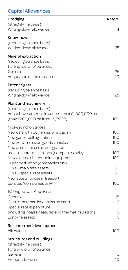# Capital Allowances

| Dredging                                                                                                                                   | Rate%             |
|--------------------------------------------------------------------------------------------------------------------------------------------|-------------------|
| (straight-line basis)<br>Writing-down allowance                                                                                            | 4                 |
| Know-how<br>(reducing balance basis)<br>Writing-down allowance                                                                             | 25                |
| Mineral extraction<br>(reducing balance basis)<br>Writing-down allowances<br>General<br>Acquisition of mineral asset                       | 25<br>10          |
| Patent rights<br>(reducing balance basis)<br>Writing-down allowance                                                                        | 25                |
| Plant and machinery<br>(reducing balance basis)<br>Annual investment allowance - max £1,000,000 pa<br>(max £200,000 pa from 1/1/2022)      | 100               |
| First-year allowances<br>New cars with CO <sub>2</sub> emissions 0 g/km<br>New gas refuelling stations<br>New zero-emission goods vehicles | 100<br>100<br>100 |
| New assets for use in designated<br>areas of enterprise zones (companies only)<br>New electric charge-point equipment                      | 100<br>100        |
| Super deduction (companies only)<br>New main rate assets<br>New special rate assets                                                        | 130<br>50         |
| New assets for use in freeport<br>tax sites (companies only)                                                                               | 100               |
| Writing-down allowances<br>General<br>Cars (other than low-emission cars)<br>Special rate expenditure                                      | 18<br>6           |
| (including integral features and thermal insulation)<br>Long-life assets                                                                   | 6<br>6            |
| Research and development<br>Allowance                                                                                                      | 100               |
| <b>Structures and buildings</b><br>(straight-line basis)<br>Writing-down allowance                                                         |                   |
| General<br>Freeport tax sites                                                                                                              | З<br>10           |